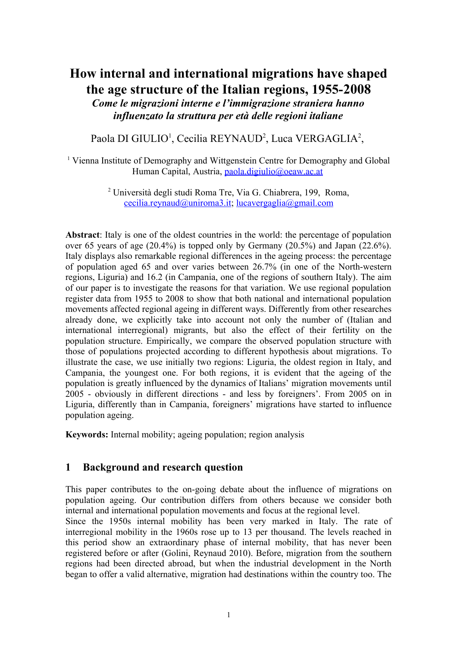# **How internal and international migrations have shaped the age structure of the Italian regions, 1955-2008**

*Come le migrazioni interne e l'immigrazione straniera hanno influenzato la struttura per età delle regioni italiane*

Paola DI GIULIO<sup>1</sup>, Cecilia REYNAUD<sup>2</sup>, Luca VERGAGLIA<sup>2</sup>,

<sup>1</sup> Vienna Institute of Demography and Wittgenstein Centre for Demography and Global Human Capital, Austria, [paola.digiulio@oeaw.ac.at](mailto:paola.digiulio@oeaw.ac.at)

> <sup>2</sup> Università degli studi Roma Tre, Via G. Chiabrera, 199, Roma,  $cecilia.revnaud@unirona3.it; lucavergaglia@gmail.com$

**Abstract**: Italy is one of the oldest countries in the world: the percentage of population over 65 years of age (20.4%) is topped only by Germany (20.5%) and Japan (22.6%). Italy displays also remarkable regional differences in the ageing process: the percentage of population aged 65 and over varies between 26.7% (in one of the North-western regions, Liguria) and 16.2 (in Campania, one of the regions of southern Italy). The aim of our paper is to investigate the reasons for that variation. We use regional population register data from 1955 to 2008 to show that both national and international population movements affected regional ageing in different ways. Differently from other researches already done, we explicitly take into account not only the number of (Italian and international interregional) migrants, but also the effect of their fertility on the population structure. Empirically, we compare the observed population structure with those of populations projected according to different hypothesis about migrations. To illustrate the case, we use initially two regions: Liguria, the oldest region in Italy, and Campania, the youngest one. For both regions, it is evident that the ageing of the population is greatly influenced by the dynamics of Italians' migration movements until 2005 - obviously in different directions - and less by foreigners'. From 2005 on in Liguria, differently than in Campania, foreigners' migrations have started to influence population ageing.

**Keywords:** Internal mobility; ageing population; region analysis

### **1 Background and research question**

This paper contributes to the on-going debate about the influence of migrations on population ageing. Our contribution differs from others because we consider both internal and international population movements and focus at the regional level.

Since the 1950s internal mobility has been very marked in Italy. The rate of interregional mobility in the 1960s rose up to 13 per thousand. The levels reached in this period show an extraordinary phase of internal mobility, that has never been registered before or after (Golini, Reynaud 2010). Before, migration from the southern regions had been directed abroad, but when the industrial development in the North began to offer a valid alternative, migration had destinations within the country too. The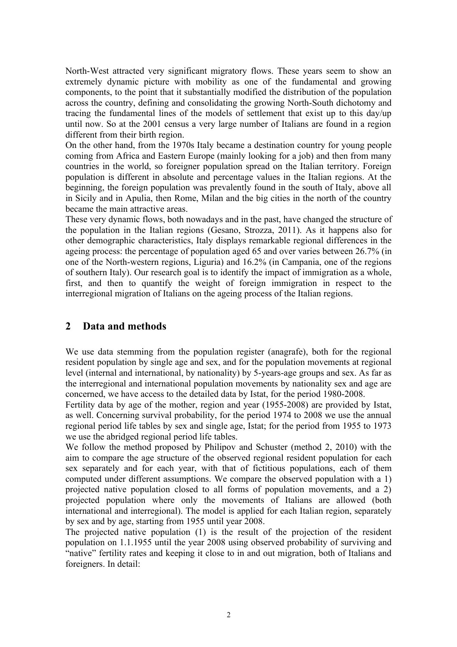North-West attracted very significant migratory flows. These years seem to show an extremely dynamic picture with mobility as one of the fundamental and growing components, to the point that it substantially modified the distribution of the population across the country, defining and consolidating the growing North-South dichotomy and tracing the fundamental lines of the models of settlement that exist up to this day/up until now. So at the 2001 census a very large number of Italians are found in a region different from their birth region.

On the other hand, from the 1970s Italy became a destination country for young people coming from Africa and Eastern Europe (mainly looking for a job) and then from many countries in the world, so foreigner population spread on the Italian territory. Foreign population is different in absolute and percentage values in the Italian regions. At the beginning, the foreign population was prevalently found in the south of Italy, above all in Sicily and in Apulia, then Rome, Milan and the big cities in the north of the country became the main attractive areas.

These very dynamic flows, both nowadays and in the past, have changed the structure of the population in the Italian regions (Gesano, Strozza, 2011). As it happens also for other demographic characteristics, Italy displays remarkable regional differences in the ageing process: the percentage of population aged 65 and over varies between 26.7% (in one of the North-western regions, Liguria) and 16.2% (in Campania, one of the regions of southern Italy). Our research goal is to identify the impact of immigration as a whole, first, and then to quantify the weight of foreign immigration in respect to the interregional migration of Italians on the ageing process of the Italian regions.

## **2 Data and methods**

We use data stemming from the population register (anagrafe), both for the regional resident population by single age and sex, and for the population movements at regional level (internal and international, by nationality) by 5-years-age groups and sex. As far as the interregional and international population movements by nationality sex and age are concerned, we have access to the detailed data by Istat, for the period 1980-2008.

Fertility data by age of the mother, region and year (1955-2008) are provided by Istat, as well. Concerning survival probability, for the period 1974 to 2008 we use the annual regional period life tables by sex and single age, Istat; for the period from 1955 to 1973 we use the abridged regional period life tables.

We follow the method proposed by Philipov and Schuster (method 2, 2010) with the aim to compare the age structure of the observed regional resident population for each sex separately and for each year, with that of fictitious populations, each of them computed under different assumptions. We compare the observed population with a 1) projected native population closed to all forms of population movements, and a 2) projected population where only the movements of Italians are allowed (both international and interregional). The model is applied for each Italian region, separately by sex and by age, starting from 1955 until year 2008.

The projected native population (1) is the result of the projection of the resident population on 1.1.1955 until the year 2008 using observed probability of surviving and "native" fertility rates and keeping it close to in and out migration, both of Italians and foreigners. In detail: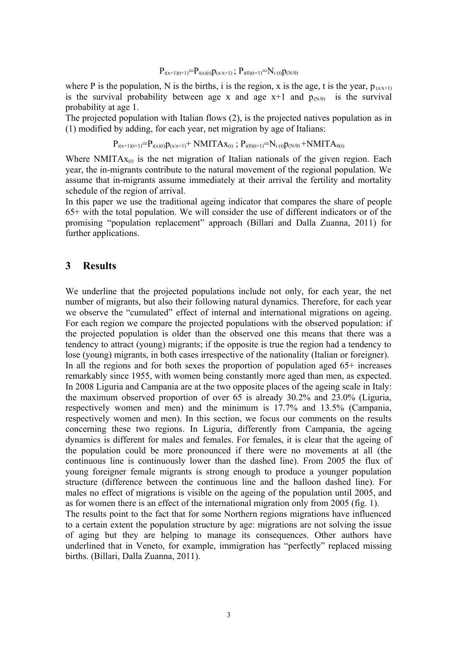#### $P_{i(x+1)(t+1)}=P_{i(x)(t)}p_{(x/x+1)}$ ;  $P_{i(0)(t+1)}=N_{i(t)}p_{(N/0)}$

where P is the population, N is the births, i is the region, x is the age, t is the year,  $p_{(x/x+1)}$ is the survival probability between age x and age  $x+1$  and  $p_{(N/0)}$  is the survival probability at age 1.

The projected population with Italian flows (2), is the projected natives population as in (1) modified by adding, for each year, net migration by age of Italians:

$$
P_{i(x+1)(t+1)} = P_{i(x)(t)} p_{(x/x+1)} + NMITAx_{(t)} \; ; \; P_{i(0)(t+1)} = N_{i(t)} p_{(N/0)} + NMITA_{0(t)}
$$

Where NMITA $x_{(t)}$  is the net migration of Italian nationals of the given region. Each year, the in-migrants contribute to the natural movement of the regional population. We assume that in-migrants assume immediately at their arrival the fertility and mortality schedule of the region of arrival.

In this paper we use the traditional ageing indicator that compares the share of people 65+ with the total population. We will consider the use of different indicators or of the promising "population replacement" approach (Billari and Dalla Zuanna, 2011) for further applications.

#### **3 Results**

We underline that the projected populations include not only, for each year, the net number of migrants, but also their following natural dynamics. Therefore, for each year we observe the "cumulated" effect of internal and international migrations on ageing. For each region we compare the projected populations with the observed population: if the projected population is older than the observed one this means that there was a tendency to attract (young) migrants; if the opposite is true the region had a tendency to lose (young) migrants, in both cases irrespective of the nationality (Italian or foreigner). In all the regions and for both sexes the proportion of population aged 65+ increases remarkably since 1955, with women being constantly more aged than men, as expected. In 2008 Liguria and Campania are at the two opposite places of the ageing scale in Italy: the maximum observed proportion of over 65 is already 30.2% and 23.0% (Liguria, respectively women and men) and the minimum is 17.7% and 13.5% (Campania, respectively women and men). In this section, we focus our comments on the results concerning these two regions. In Liguria, differently from Campania, the ageing dynamics is different for males and females. For females, it is clear that the ageing of the population could be more pronounced if there were no movements at all (the continuous line is continuously lower than the dashed line). From 2005 the flux of young foreigner female migrants is strong enough to produce a younger population structure (difference between the continuous line and the balloon dashed line). For males no effect of migrations is visible on the ageing of the population until 2005, and as for women there is an effect of the international migration only from 2005 (fig. 1). The results point to the fact that for some Northern regions migrations have influenced to a certain extent the population structure by age: migrations are not solving the issue of aging but they are helping to manage its consequences. Other authors have underlined that in Veneto, for example, immigration has "perfectly" replaced missing births. (Billari, Dalla Zuanna, 2011).